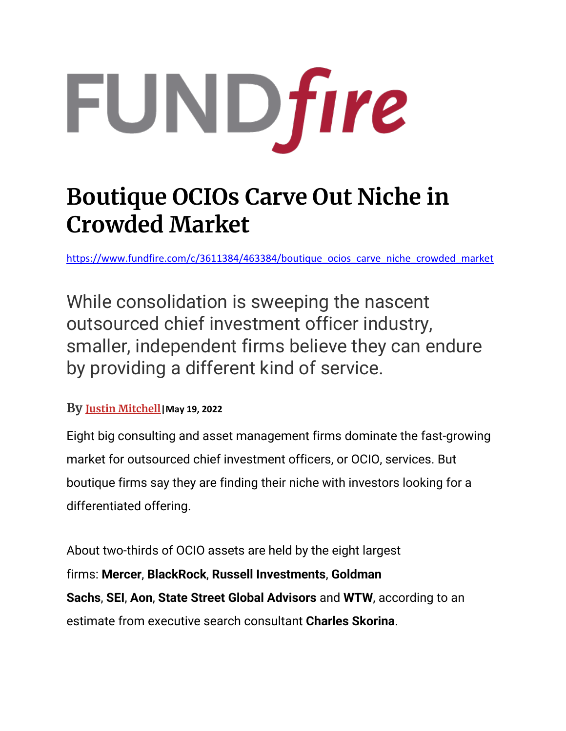

## **Boutique OCIOs Carve Out Niche in Crowded Market**

[https://www.fundfire.com/c/3611384/463384/boutique\\_ocios\\_carve\\_niche\\_crowded\\_market](https://www.fundfire.com/c/3611384/463384/boutique_ocios_carve_niche_crowded_market)

While consolidation is sweeping the nascent outsourced chief investment officer industry, smaller, independent firms believe they can endure by providing a different kind of service.

## **By [Justin Mitchell](https://www.fundfire.com/email-contributor/141974/3611384/463384?from=%2Fc%2F3611384%2F463384%2Fboutique_ocios_carve_niche_crowded_market%3Freferrer_module%3DemailMorningNews%26module_order%3D0%26code%3DYW0xcGRHTm9aV3hzUUdaMWJtUm1hWEpsTG1OdmJTd2dNVFV4T1RjeE1qUXNJREl6TmpBMk9BPT0)|May 19, 2022**

Eight big consulting and asset management firms dominate the fast-growing market for outsourced chief investment officers, or OCIO, services. But boutique firms say they are finding their niche with investors looking for a differentiated offering.

About two-thirds of OCIO assets are held by the eight largest firms: **Mercer**, **BlackRock**, **Russell Investments**, **Goldman Sachs**, **SEI**, **Aon**, **State Street Global Advisors** and **WTW**, according to an estimate from executive search consultant **Charles Skorina**.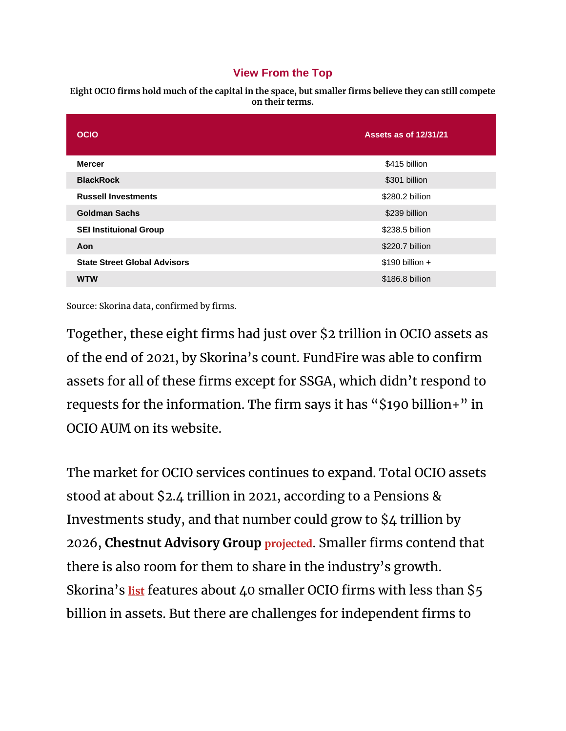## **View From the Top**

**Eight OCIO firms hold much of the capital in the space, but smaller firms believe they can still compete on their terms.**

| <b>OCIO</b>                         | <b>Assets as of 12/31/21</b> |
|-------------------------------------|------------------------------|
| <b>Mercer</b>                       | \$415 billion                |
| <b>BlackRock</b>                    | \$301 billion                |
| <b>Russell Investments</b>          | \$280.2 billion              |
| <b>Goldman Sachs</b>                | \$239 billion                |
| <b>SEI Instituional Group</b>       | \$238.5 billion              |
| Aon                                 | \$220.7 billion              |
| <b>State Street Global Advisors</b> | $$190$ billion +             |
| <b>WTW</b>                          | \$186.8 billion              |

Source: Skorina data, confirmed by firms.

Together, these eight firms had just over \$2 trillion in OCIO assets as of the end of 2021, by Skorina's count. FundFire was able to confirm assets for all of these firms except for SSGA, which didn't respond to requests for the information. The firm says it has "\$190 billion+" in OCIO AUM on its website.

The market for OCIO services continues to expand. Total OCIO assets stood at about \$2.4 trillion in 2021, according to a Pensions & Investments study, and that number could grow to \$4 trillion by 2026, **Chestnut Advisory Group [projected](https://www.fundfire.com/c/3407734/434344?referrer_module=article)**. Smaller firms contend that there is also room for them to share in the industry's growth. Skorina's **[list](https://charlesskorina.com/ocio-spring-2022-last-man-standing/)** features about 40 smaller OCIO firms with less than \$5 billion in assets. But there are challenges for independent firms to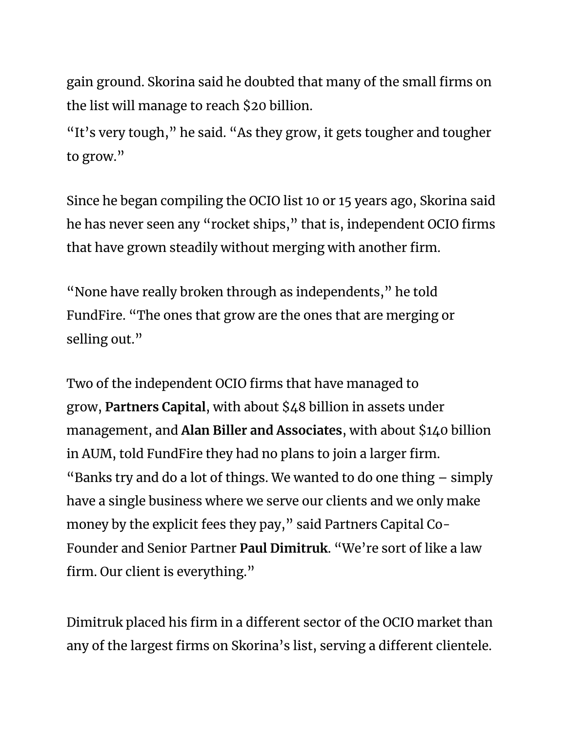gain ground. Skorina said he doubted that many of the small firms on the list will manage to reach \$20 billion.

"It's very tough," he said. "As they grow, it gets tougher and tougher to grow."

Since he began compiling the OCIO list 10 or 15 years ago, Skorina said he has never seen any "rocket ships," that is, independent OCIO firms that have grown steadily without merging with another firm.

"None have really broken through as independents," he told FundFire. "The ones that grow are the ones that are merging or selling out."

Two of the independent OCIO firms that have managed to grow, **Partners Capital**, with about \$48 billion in assets under management, and **Alan Biller and Associates**, with about \$140 billion in AUM, told FundFire they had no plans to join a larger firm. "Banks try and do a lot of things. We wanted to do one thing – simply have a single business where we serve our clients and we only make money by the explicit fees they pay," said Partners Capital Co-Founder and Senior Partner **Paul Dimitruk**. "We're sort of like a law firm. Our client is everything."

Dimitruk placed his firm in a different sector of the OCIO market than any of the largest firms on Skorina's list, serving a different clientele.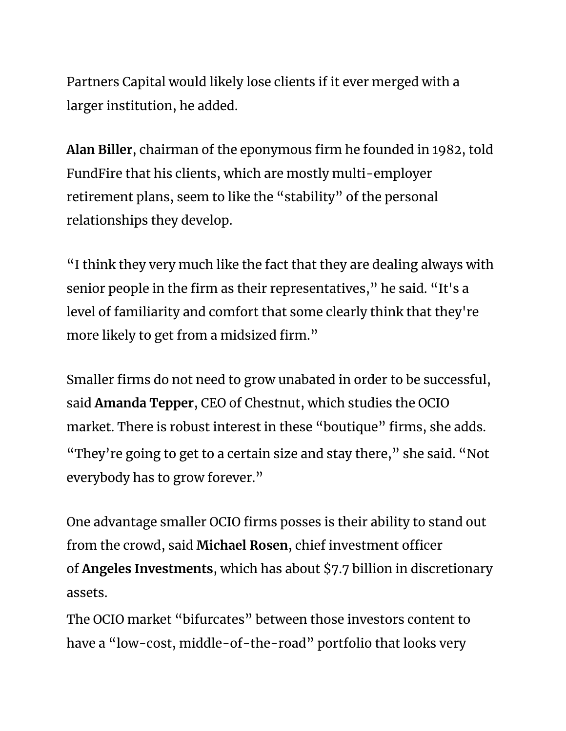Partners Capital would likely lose clients if it ever merged with a larger institution, he added.

**Alan Biller**, chairman of the eponymous firm he founded in 1982, told FundFire that his clients, which are mostly multi-employer retirement plans, seem to like the "stability" of the personal relationships they develop.

"I think they very much like the fact that they are dealing always with senior people in the firm as their representatives," he said. "It's a level of familiarity and comfort that some clearly think that they're more likely to get from a midsized firm."

Smaller firms do not need to grow unabated in order to be successful, said **Amanda Tepper**, CEO of Chestnut, which studies the OCIO market. There is robust interest in these "boutique" firms, she adds. "They're going to get to a certain size and stay there," she said. "Not everybody has to grow forever."

One advantage smaller OCIO firms posses is their ability to stand out from the crowd, said **Michael Rosen**, chief investment officer of **Angeles Investments**, which has about \$7.7 billion in discretionary assets.

The OCIO market "bifurcates" between those investors content to have a "low-cost, middle-of-the-road" portfolio that looks very